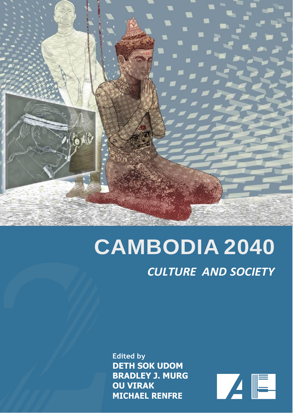

# **CAMBODIA 2040** *CULTURE AND SOCIETY*

**Edited by DETH SOK UDOM BRADLEY J. MURG OU VIRAK MICHAEL RENFRE**

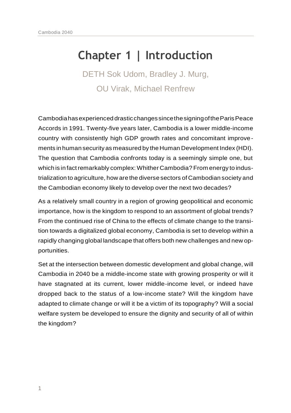# **Chapter 1 | Introduction**

DETH Sok Udom, Bradley J. Murg, OU Virak, Michael Renfrew

CambodiahasexperienceddrasticchangessincethesigningoftheParisPeace Accords in 1991. Twenty-five years later, Cambodia is a lower middle-income country with consistently high GDP growth rates and concomitant improvements in human security as measured by the Human Development Index (HDI). The question that Cambodia confronts today is a seemingly simple one, but which is in fact remarkably complex: Whither Cambodia? From energy to industrialization to agriculture, how are the diverse sectors of Cambodian society and the Cambodian economy likely to develop over the next two decades?

As a relatively small country in a region of growing geopolitical and economic importance, how is the kingdom to respond to an assortment of global trends? From the continued rise of China to the effects of climate change to the transition towards a digitalized global economy, Cambodia is set to develop within a rapidly changing global landscape that offers both new challenges and new opportunities.

Set at the intersection between domestic development and global change, will Cambodia in 2040 be a middle-income state with growing prosperity or will it have stagnated at its current, lower middle-income level, or indeed have dropped back to the status of a low-income state? Will the kingdom have adapted to climate change or will it be a victim of its topography? Will a social welfare system be developed to ensure the dignity and security of all of within the kingdom?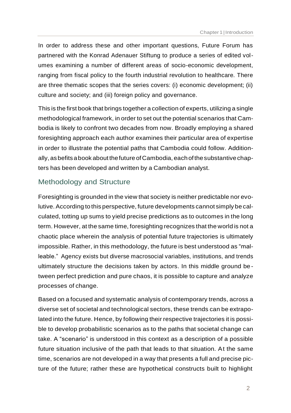In order to address these and other important questions, Future Forum has partnered with the Konrad Adenauer Stiftung to produce a series of edited volumes examining a number of different areas of socio-economic development, ranging from fiscal policy to the fourth industrial revolution to healthcare. There are three thematic scopes that the series covers: (i) economic development; (ii) culture and society; and (iii) foreign policy and governance.

This is the first book that brings together a collection of experts, utilizing a single methodological framework, in order to set out the potential scenarios that Cambodia is likely to confront two decades from now. Broadly employing a shared foresighting approach each author examines their particular area of expertise in order to illustrate the potential paths that Cambodia could follow. Additionally, as befits a book about the future of Cambodia, each of the substantive chapters has been developed and written by a Cambodian analyst.

# Methodology and Structure

Foresighting is grounded in the view that society is neither predictable nor evolutive.According to this perspective, future developments cannot simply be calculated, totting up sums to yield precise predictions as to outcomes in the long term. However, at the same time, foresighting recognizes that the world is not a chaotic place wherein the analysis of potential future trajectories is ultimately impossible. Rather, in this methodology, the future is best understood as "malleable." Agency exists but diverse macrosocial variables, institutions, and trends ultimately structure the decisions taken by actors. In this middle ground be tween perfect prediction and pure chaos, it is possible to capture and analyze processes of change.

Based on a focused and systematic analysis of contemporary trends, across a diverse set of societal and technological sectors, these trends can be extrapolated into the future. Hence, by following their respective trajectories it is possible to develop probabilistic scenarios as to the paths that societal change can take. A "scenario" is understood in this context as a description of a possible future situation inclusive of the path that leads to that situation. At the same time, scenarios are not developed in a way that presents a full and precise picture of the future; rather these are hypothetical constructs built to highlight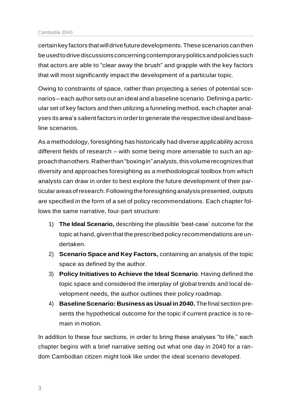#### Cambodia 2040

certainkey factors thatwilldrivefuturedevelopments.Thesescenarios canthen beusedtodrivediscussions concerningcontemporarypoliticsandpoliciessuch that actors are able to "clear away the brush" and grapple with the key factors that will most significantly impact the development of a particular topic.

Owing to constraints of space, rather than projecting a series of potential scenarios – each author sets out an ideal and a baseline scenario. Defining a particular set of key factors and then utilizing a funneling method, each chapter analyses its area's salient factors in orderto generate the respective ideal and baseline scenarios.

As a methodology, foresighting has historically had diverse applicability across different fields of research – with some being more amenable to such an approachthanothers.Ratherthan"boxingin"analysts,thisvolumerecognizesthat diversity and approaches foresighting as a methodological toolbox from which analysts can draw in order to best explore the future development of their particular areas of research. Following the foresighting analysis presented, outputs are specified in the form of a set of policy recommendations. Each chapter follows the same narrative, four-part structure:

- 1) **The Ideal Scenario,** describing the plausible 'best-case' outcome for the topic at hand, given that the prescribed policy recommendations are undertaken.
- 2) **Scenario Space and Key Factors,** containing an analysis of the topic space as defined by the author.
- 3) **Policy Initiatives to Achieve the Ideal Scenario**. Having defined the topic space and considered the interplay of global trends and local development needs, the author outlines their policy roadmap.
- 4) **BaselineScenario: Business as Usualin2040.** The final section presents the hypothetical outcome for the topic if current practice is to remain in motion.

In addition to these four sections, in order to bring these analyses "to life," each chapter begins with a brief narrative setting out what one day in 2040 for a random Cambodian citizen might look like under the ideal scenario developed.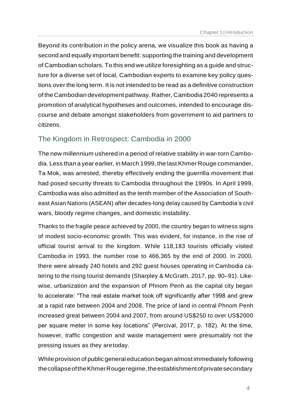Beyond its contribution in the policy arena, we visualize this book as having a second and equally important benefit: supporting the training and development of Cambodian scholars. To this end we utilize foresighting as a guide and structure for a diverse set of local, Cambodian experts to examine key policy questions over the long term. It is not intended to be read as a definitive construction of the Cambodian development pathway. Rather, Cambodia 2040 represents a promotion of analytical hypotheses and outcomes, intended to encourage discourse and debate amongst stakeholders from government to aid partners to citizens.

### The Kingdom in Retrospect: Cambodia in 2000

The new millennium ushered in a period of relative stability in war-torn Cambodia. Less than a year earlier, in March 1999, the last Khmer Rouge commander, Ta Mok, was arrested, thereby effectively ending the guerrilla movement that had posed security threats to Cambodia throughout the 1990s. In April 1999, Cambodia was also admitted as the tenth member of the Association of Southeast Asian Nations (ASEAN) after decades-long delay caused by Cambodia's civil wars, bloody regime changes, and domestic instability.

Thanks to the fragile peace achieved by 2000, the country began to witness signs of modest socio-economic growth. This was evident, for instance, in the rise of official tourist arrival to the kingdom. While 118,183 tourists officially visited Cambodia in 1993, the number rose to 466,365 by the end of 2000. In 2000, there were already 240 hotels and 292 guest houses operating in Cambodia catering to the rising tourist demands (Sharpley & McGrath, 2017, pp. 90–91). Likewise, urbanization and the expansion of Phnom Penh as the capital city began to accelerate: "The real estate market took off significantly after 1998 and grew at a rapid rate between 2004 and 2008. The price of land in central Phnom Penh increased great between 2004 and 2007, from around US\$250 to over US\$2000 per square meter in some key locations" (Percival, 2017, p. 182). At the time, however, traffic congestion and waste management were presumably not the pressing issues as they aretoday.

While provision of public general education began almost immediately following thecollapseoftheKhmerRougeregime,theestablishmentofprivatesecondary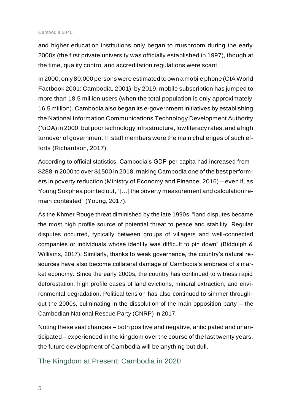#### Cambodia 2040

and higher education institutions only began to mushroom during the early 2000s (the first private university was officially established in 1997), though at the time, quality control and accreditation regulations were scant.

In 2000, only 80,000 persons were estimated to own a mobile phone (CIAWorld Factbook 2001: Cambodia, 2001); by 2019, mobile subscription has jumped to more than 18.5 million users (when the total population is only approximately 16.5 million). Cambodia also began its e-government initiatives by establishing the National Information Communications Technology Development Authority (NiDA) in 2000, but poortechnology infrastructure, low literacy rates, and a high turnover of government IT staff members were the main challenges of such efforts (Richardson, 2017).

According to official statistics, Cambodia's GDP per capita had increased from \$288 in 2000 to over \$1500 in 2018, making Cambodia one of the best performers in poverty reduction (Ministry of Economy and Finance, 2016) – even if, as Young Sokphea pointed out, "[…] the poverty measurement and calculation remain contested" (Young, 2017).

As the Khmer Rouge threat diminished by the late 1990s, "land disputes became the most high profile source of potential threat to peace and stability. Regular disputes occurred, typically between groups of villagers and well-connected companies or individuals whose identity was difficult to pin down" (Biddulph & Williams, 2017). Similarly, thanks to weak governance, the country's natural resources have also become collateral damage of Cambodia's embrace of a market economy. Since the early 2000s, the country has continued to witness rapid deforestation, high profile cases of land evictions, mineral extraction, and environmental degradation. Political tension has also continued to simmer throughout the 2000s, culminating in the dissolution of the main opposition party – the Cambodian National Rescue Party (CNRP) in 2017.

Noting these vast changes – both positive and negative, anticipated and unanticipated – experienced in the kingdom over the course of the last twenty years, the future development of Cambodia will be anything but dull.

The Kingdom at Present: Cambodia in 2020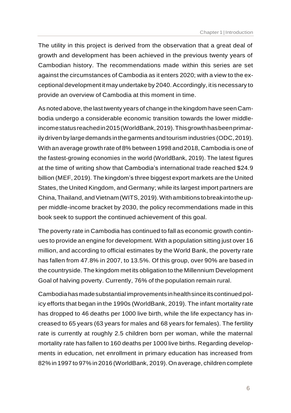The utility in this project is derived from the observation that a great deal of growth and development has been achieved in the previous twenty years of Cambodian history. The recommendations made within this series are set against the circumstances of Cambodia as it enters 2020; with a view to the exceptional development it may undertake by 2040.Accordingly, itis necessary to provide an overview of Cambodia at this moment in time.

As noted above, the last twenty years of change in the kingdom have seen Cambodia undergo a considerable economic transition towards the lower middleincomestatusreachedin2015(WorldBank,2019).Thisgrowthhasbeenprimarilydrivenby largedemands inthegarments andtourism industries (ODC,2019). With an average growth rate of 8% between 1998 and 2018, Cambodia is one of the fastest-growing economies in the world (WorldBank, 2019). The latest figures at the time of writing show that Cambodia's international trade reached \$24.9 billion (MEF, 2019). The kingdom's three biggest export markets are the United States, the United Kingdom, and Germany; while its largest import partners are China, Thailand, and Vietnam (WITS, 2019). With ambitions to break into the upper middle-income bracket by 2030, the policy recommendations made in this book seek to support the continued achievement of this goal.

The poverty rate in Cambodia has continued to fall as economic growth continues to provide an engine for development. With a population sitting just over 16 million, and according to official estimates by the World Bank, the poverty rate has fallen from 47.8% in 2007, to 13.5%. Of this group, over 90% are based in the countryside. The kingdom met its obligation to the Millennium Development Goal of halving poverty. Currently, 76% of the population remain rural.

Cambodiahasmadesubstantial improvements inhealthsinceitscontinuedpolicy efforts that began in the 1990s (WorldBank, 2019). The infant mortality rate has dropped to 46 deaths per 1000 live birth, while the life expectancy has increased to 65 years (63 years for males and 68 years for females). The fertility rate is currently at roughly 2.5 children born per woman, while the maternal mortality rate has fallen to 160 deaths per 1000 live births. Regarding developments in education, net enrollment in primary education has increased from 82% in 1997 to 97% in 2016 (WorldBank, 2019). On average, children complete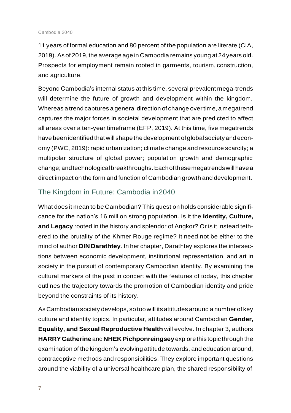11 years of formal education and 80 percent of the population are literate (CIA, 2019). As of 2019, the average age in Cambodia remains young at 24 years old. Prospects for employment remain rooted in garments, tourism, construction, and agriculture.

Beyond Cambodia's internal status at this time, several prevalent mega-trends will determine the future of growth and development within the kingdom. Whereas a trend captures a general direction of change overtime, a megatrend captures the major forces in societal development that are predicted to affect all areas over a ten-year timeframe (EFP, 2019). At this time, five megatrends have been identified that will shape the development of global society and economy (PWC, 2019): rapid urbanization; climate change and resource scarcity; a multipolar structure of global power; population growth and demographic change;andtechnologicalbreakthroughs.Eachofthesemegatrendswillhavea direct impact on the form and function of Cambodian growth and development.

# The Kingdom in Future: Cambodia in2040

What does it mean to be Cambodian? This question holds considerable significance for the nation's 16 million strong population. Is it the **Identity, Culture, and Legacy** rooted in the history and splendor of Angkor? Or is it instead tethered to the brutality of the Khmer Rouge regime? It need not be either to the mind of author **DIN Darathtey**. In her chapter, Darathtey explores the intersections between economic development, institutional representation, and art in society in the pursuit of contemporary Cambodian identity. By examining the cultural markers of the past in concert with the features of today, this chapter outlines the trajectory towards the promotion of Cambodian identity and pride beyond the constraints of its history.

As Cambodian society develops, so too will its attitudes around a number of key culture and identity topics. In particular, attitudes around Cambodian **Gender, Equality, and Sexual Reproductive Health** will evolve. In chapter 3, authors **HARRYCatherine**and**NHEKPichponreingsey**explorethis topic throughthe examination of the kingdom's evolving attitude towards, and education around, contraceptive methods and responsibilities. They explore important questions around the viability of a universal healthcare plan, the shared responsibility of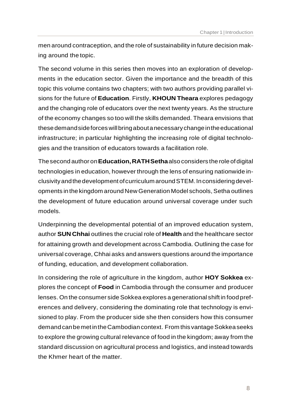men around contraception, and the role of sustainability in future decision making around the topic.

The second volume in this series then moves into an exploration of developments in the education sector. Given the importance and the breadth of this topic this volume contains two chapters; with two authors providing parallel visions for the future of **Education**. Firstly, **KHOUN Theara** explores pedagogy and the changing role of educators over the next twenty years. As the structure of the economy changes so too will the skills demanded. Theara envisions that thesedemandsideforceswillbringaboutanecessarychangeintheeducational infrastructure; in particular highlighting the increasing role of digital technologies and the transition of educators towards a facilitation role.

Thesecond author on**Education,RATHSetha**also considers the role ofdigital technologies in education, however through the lens of ensuring nationwide inclusivityandthedevelopment ofcurriculum aroundSTEM.Inconsideringdevelopments in the kingdom around New Generation Model schools, Setha outlines the development of future education around universal coverage under such models.

Underpinning the developmental potential of an improved education system, author **SUN Chhai** outlines the crucial role of **Health** and the healthcare sector for attaining growth and development across Cambodia. Outlining the case for universal coverage, Chhai asks and answers questions around the importance of funding, education, and development collaboration.

In considering the role of agriculture in the kingdom, author **HOY Sokkea** explores the concept of **Food** in Cambodia through the consumer and producer lenses. On the consumer side Sokkea explores a generational shift in food preferences and delivery, considering the dominating role that technology is envisioned to play. From the producer side she then considers how this consumer demand can be met in the Cambodian context. From this vantage Sokkea seeks to explore the growing cultural relevance of food in the kingdom; away from the standard discussion on agricultural process and logistics, and instead towards the Khmer heart of the matter.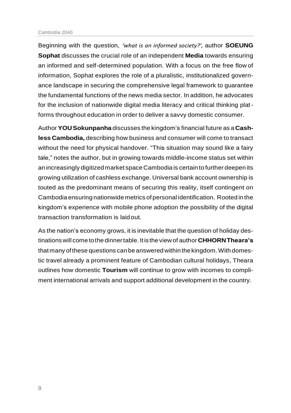#### Cambodia 2040

Beginning with the question, *'what is an informed society?',* author **SOEUNG Sophat** discusses the crucial role of an independent **Media** towards ensuring an informed and self-determined population. With a focus on the free flow of information, Sophat explores the role of a pluralistic, institutionalized governance landscape in securing the comprehensive legal framework to guarantee the fundamental functions of the news media sector. In addition, he advocates for the inclusion of nationwide digital media literacy and critical thinking platforms throughout education in order to deliver a savvy domestic consumer.

Author **YOU Sokunpanha** discusses the kingdom's financial future as a **Cashless Cambodia,** describing how business and consumer will come to transact without the need for physical handover. "This situation may sound like a fairy tale," notes the author, but in growing towards middle-income status set within an increasingly digitized market space Cambodia is certain to further deepen its growing utilization of cashless exchange. Universal bank account ownership is touted as the predominant means of securing this reality, itself contingent on Cambodia ensuring nationwide metrics of personal identification. Rooted in the kingdom's experience with mobile phone adoption the possibility of the digital transaction transformation is laid out.

As the nation's economy grows, it is inevitable that the question of holiday destinations will come tothe dinnertable. Itis the viewof author **CHHORNTheara's**  thatmany ofthese questions can be answered within the kingdom. With domestic travel already a prominent feature of Cambodian cultural holidays, Theara outlines how domestic **Tourism** will continue to grow with incomes to compliment international arrivals and support additional development in the country.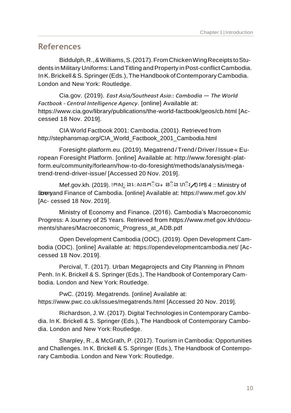#### **References**

Biddulph,R.,&Williams,S.(2017).FromChickenWingReceiptstoStudents in Military Uniforms: Land Titling and Property in Post-conflict Cambodia. InK.Brickell&S.Springer(Eds.),The Handbook ofContemporary Cambodia. London and New York: Routledge.

Cia.gov. (2019). *East Asia/Southeast Asia:: Cambodia — The World Factbook - Central Intelligence Agency*. [online] Available at: https:/[/www.cia.gov/library/publications/the-world-factbook/geos/cb.html \[](http://www.cia.gov/library/publications/the-world-factbook/geos/cb.html)Accessed 18 Nov. 2019].

CIA World Factbook 2001: Cambodia. (2001). Retrieved from [http://stephansmap.org/CIA\\_World\\_Factbook\\_2001\\_Cambodia.html](http://stephansmap.org/CIA_World_Factbook_2001_Cambodia.html)

Foresight-platform.eu.(2019). Megatrend /Trend/ Driver/ Issue« European Foresight Platform. [online] Available at: http://www.foresight-platform.eu/community/forlearn/how-to-do-foresight/methods/analysis/megatrend-trend-driver-issue/ [Accessed 20 Nov. 2019].

 $Mef.gov.kh.$  (2019). !កសួ ងេេសដក $\hat{\circ}$ ច+ ន $\hat{\circ}$ ង ហ $\hat{\circ}$ រ $\nearrow$  វក $3$  4 :: Ministry of Econyand Finance of Cambodia. [online] Available at: https://www.mef.gov.kh/ [Ac- cessed 18 Nov. 2019].

Ministry of Economy and Finance. (2016). Cambodia's Macroeconomic Progress: A Journey of 25 Years. Retrieved from https:/[/www.mef.gov.kh/docu](http://www.mef.gov.kh/docu-)ments/shares/Macroeconomic\_Progress\_at\_ADB.pdf

Open Development Cambodia (ODC). (2019). Open Development Cambodia (ODC). [online] Available at: https://opendevelopmentcambodia.net/ [Accessed 18 Nov. 2019].

Percival, T. (2017). Urban Megaprojects and City Planning in Phnom Penh. In K. Brickell & S. Springer (Eds.), The Handbook of Contemporary Cambodia. London and New York: Routledge.

PwC. (2019). Megatrends. [online] Available at: https:/[/www.pwc.co.uk/issues/megatrends.html \[](http://www.pwc.co.uk/issues/megatrends.html)Accessed 20 Nov. 2019].

Richardson, J. W. (2017). Digital Technologies in Contemporary Cambodia. In K. Brickell & S. Springer (Eds.), The Handbook of Contemporary Cambodia. London and New York: Routledge.

Sharpley, R., & McGrath, P. (2017). Tourism in Cambodia: Opportunities and Challenges. In K. Brickell & S. Springer (Eds.), The Handbook of Contemporary Cambodia. London and New York: Routledge.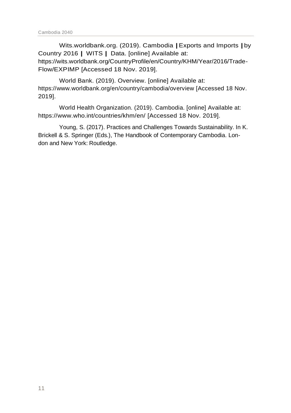Wits.worldbank.org. (2019). Cambodia |Exports and Imports |by Country 2016 | WITS | Data. [online] Available at: https://wits.worldbank.org/CountryProfile/en/Country/KHM/Year/2016/Trade-Flow/EXPIMP [Accessed 18 Nov. 2019].

World Bank. (2019). Overview. [online] Available at: https:/[/www.worldbank.org/en/country/cambodia/overview \[](http://www.worldbank.org/en/country/cambodia/overview)Accessed 18 Nov. 2019].

World Health Organization. (2019). Cambodia. [online] Available at: https:/[/www.who.int/countries/khm/en/ \[](http://www.who.int/countries/khm/en/)Accessed 18 Nov. 2019].

Young, S. (2017). Practices and Challenges Towards Sustainability. In K. Brickell & S. Springer (Eds.), The Handbook of Contemporary Cambodia. London and New York: Routledge.